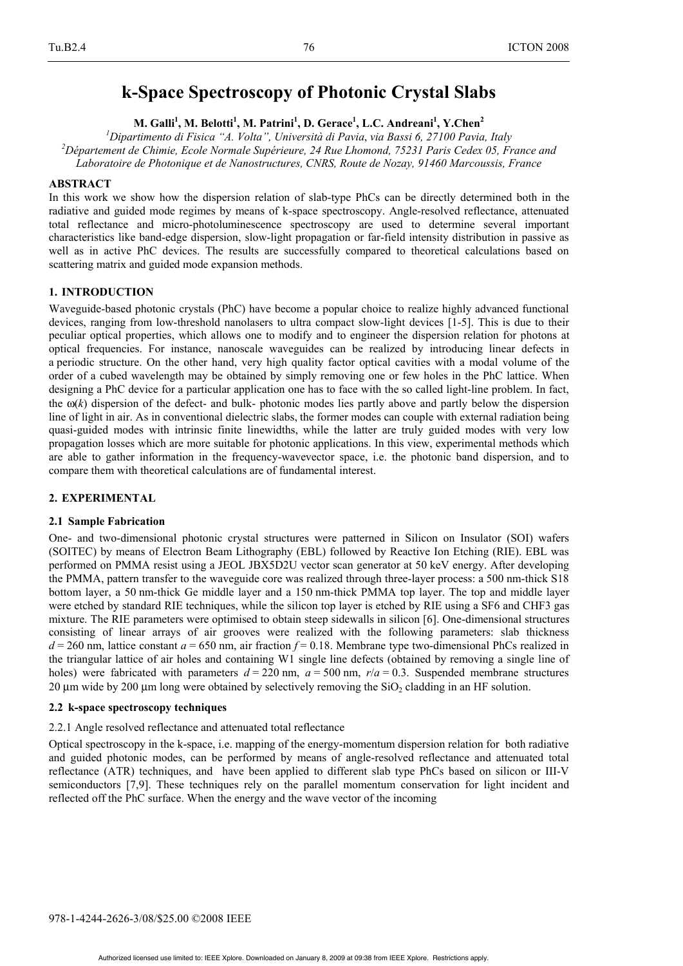# **k-Space Spectroscopy of Photonic Crystal Slabs**

 $M$ . Galli<sup>1</sup>, M. Belotti<sup>1</sup>, M. Patrini<sup>1</sup>, D. Gerace<sup>1</sup>, L.C. Andreani<sup>1</sup>, Y.Chen<sup>2</sup>

*1 Dipartimento di Fisica "A. Volta", Università di Pavia*, *via Bassi 6, 27100 Pavia, Italy 2 Département de Chimie, Ecole Normale Supérieure, 24 Rue Lhomond, 75231 Paris Cedex 05, France and Laboratoire de Photonique et de Nanostructures, CNRS, Route de Nozay, 91460 Marcoussis, France* 

## **ABSTRACT**

In this work we show how the dispersion relation of slab-type PhCs can be directly determined both in the radiative and guided mode regimes by means of k-space spectroscopy. Angle-resolved reflectance, attenuated total reflectance and micro-photoluminescence spectroscopy are used to determine several important characteristics like band-edge dispersion, slow-light propagation or far-field intensity distribution in passive as well as in active PhC devices. The results are successfully compared to theoretical calculations based on scattering matrix and guided mode expansion methods.

## **1. INTRODUCTION**

Waveguide-based photonic crystals (PhC) have become a popular choice to realize highly advanced functional devices, ranging from low-threshold nanolasers to ultra compact slow-light devices [1-5]. This is due to their peculiar optical properties, which allows one to modify and to engineer the dispersion relation for photons at optical frequencies. For instance, nanoscale waveguides can be realized by introducing linear defects in a periodic structure. On the other hand, very high quality factor optical cavities with a modal volume of the order of a cubed wavelength may be obtained by simply removing one or few holes in the PhC lattice. When designing a PhC device for a particular application one has to face with the so called light-line problem. In fact, the ω(*k*) dispersion of the defect- and bulk- photonic modes lies partly above and partly below the dispersion line of light in air. As in conventional dielectric slabs, the former modes can couple with external radiation being quasi-guided modes with intrinsic finite linewidths, while the latter are truly guided modes with very low propagation losses which are more suitable for photonic applications. In this view, experimental methods which are able to gather information in the frequency-wavevector space, i.e. the photonic band dispersion, and to compare them with theoretical calculations are of fundamental interest.

# **2. EXPERIMENTAL**

# **2.1 Sample Fabrication**

One- and two-dimensional photonic crystal structures were patterned in Silicon on Insulator (SOI) wafers (SOITEC) by means of Electron Beam Lithography (EBL) followed by Reactive Ion Etching (RIE). EBL was performed on PMMA resist using a JEOL JBX5D2U vector scan generator at 50 keV energy. After developing the PMMA, pattern transfer to the waveguide core was realized through three-layer process: a 500 nm-thick S18 bottom layer, a 50 nm-thick Ge middle layer and a 150 nm-thick PMMA top layer. The top and middle layer were etched by standard RIE techniques, while the silicon top layer is etched by RIE using a SF6 and CHF3 gas mixture. The RIE parameters were optimised to obtain steep sidewalls in silicon [6]. One-dimensional structures consisting of linear arrays of air grooves were realized with the following parameters: slab thickness  $d = 260$  nm, lattice constant  $a = 650$  nm, air fraction  $f = 0.18$ . Membrane type two-dimensional PhCs realized in the triangular lattice of air holes and containing W1 single line defects (obtained by removing a single line of holes) were fabricated with parameters  $d = 220$  nm,  $a = 500$  nm,  $r/a = 0.3$ . Suspended membrane structures 20 m wide by 200 m long were obtained by selectively removing the  $SiO<sub>2</sub>$  cladding in an HF solution.

#### **2.2 k-space spectroscopy techniques**

#### 2.2.1 Angle resolved reflectance and attenuated total reflectance

Optical spectroscopy in the k-space, i.e. mapping of the energy-momentum dispersion relation for both radiative and guided photonic modes, can be performed by means of angle-resolved reflectance and attenuated total reflectance (ATR) techniques, and have been applied to different slab type PhCs based on silicon or III-V semiconductors [7,9]. These techniques rely on the parallel momentum conservation for light incident and reflected off the PhC surface. When the energy and the wave vector of the incoming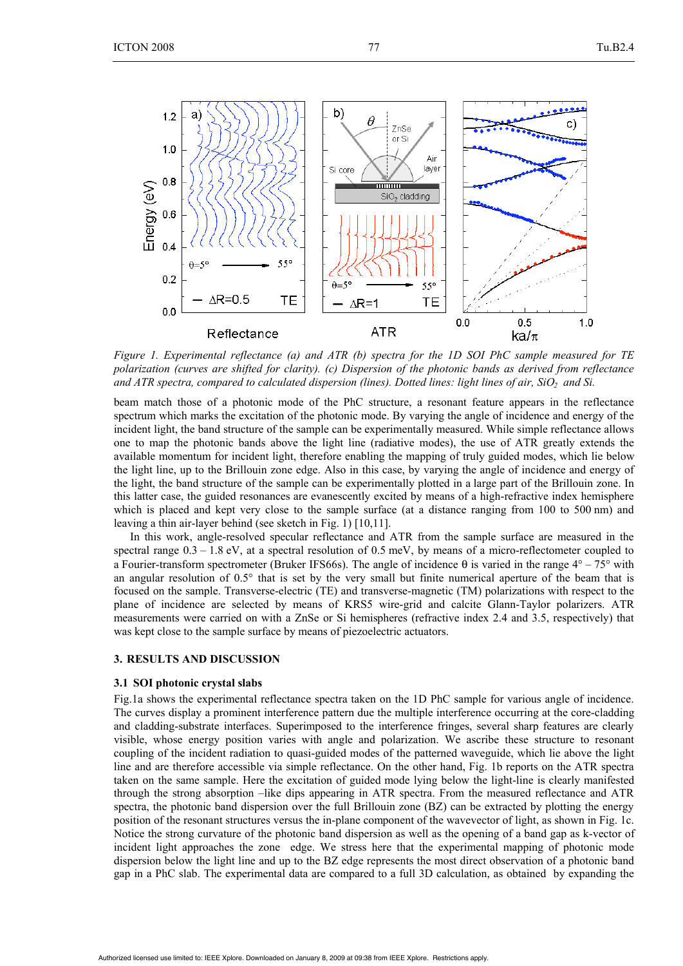

*Figure 1. Experimental reflectance (a) and ATR (b) spectra for the 1D SOI PhC sample measured for TE polarization (curves are shifted for clarity). (c) Dispersion of the photonic bands as derived from reflectance*  and ATR spectra, compared to calculated dispersion (lines). Dotted lines: light lines of air, SiO<sub>2</sub> and Si.

beam match those of a photonic mode of the PhC structure, a resonant feature appears in the reflectance spectrum which marks the excitation of the photonic mode. By varying the angle of incidence and energy of the incident light, the band structure of the sample can be experimentally measured. While simple reflectance allows one to map the photonic bands above the light line (radiative modes), the use of ATR greatly extends the available momentum for incident light, therefore enabling the mapping of truly guided modes, which lie below the light line, up to the Brillouin zone edge. Also in this case, by varying the angle of incidence and energy of the light, the band structure of the sample can be experimentally plotted in a large part of the Brillouin zone. In this latter case, the guided resonances are evanescently excited by means of a high-refractive index hemisphere which is placed and kept very close to the sample surface (at a distance ranging from 100 to 500 nm) and leaving a thin air-layer behind (see sketch in Fig. 1) [10,11].

In this work, angle-resolved specular reflectance and ATR from the sample surface are measured in the spectral range  $0.3 - 1.8$  eV, at a spectral resolution of 0.5 meV, by means of a micro-reflectometer coupled to a Fourier-transform spectrometer (Bruker IFS66s). The angle of incidence θ is varied in the range  $4^\circ - 75^\circ$  with an angular resolution of 0.5° that is set by the very small but finite numerical aperture of the beam that is focused on the sample. Transverse-electric (TE) and transverse-magnetic (TM) polarizations with respect to the plane of incidence are selected by means of KRS5 wire-grid and calcite Glann-Taylor polarizers. ATR measurements were carried on with a ZnSe or Si hemispheres (refractive index 2.4 and 3.5, respectively) that was kept close to the sample surface by means of piezoelectric actuators.

## **3. RESULTS AND DISCUSSION**

#### **3.1 SOI photonic crystal slabs**

Fig.1a shows the experimental reflectance spectra taken on the 1D PhC sample for various angle of incidence. The curves display a prominent interference pattern due the multiple interference occurring at the core-cladding and cladding-substrate interfaces. Superimposed to the interference fringes, several sharp features are clearly visible, whose energy position varies with angle and polarization. We ascribe these structure to resonant coupling of the incident radiation to quasi-guided modes of the patterned waveguide, which lie above the light line and are therefore accessible via simple reflectance. On the other hand, Fig. 1b reports on the ATR spectra taken on the same sample. Here the excitation of guided mode lying below the light-line is clearly manifested through the strong absorption –like dips appearing in ATR spectra. From the measured reflectance and ATR spectra, the photonic band dispersion over the full Brillouin zone (BZ) can be extracted by plotting the energy position of the resonant structures versus the in-plane component of the wavevector of light, as shown in Fig. 1c. Notice the strong curvature of the photonic band dispersion as well as the opening of a band gap as k-vector of incident light approaches the zone edge. We stress here that the experimental mapping of photonic mode dispersion below the light line and up to the BZ edge represents the most direct observation of a photonic band gap in a PhC slab. The experimental data are compared to a full 3D calculation, as obtained by expanding the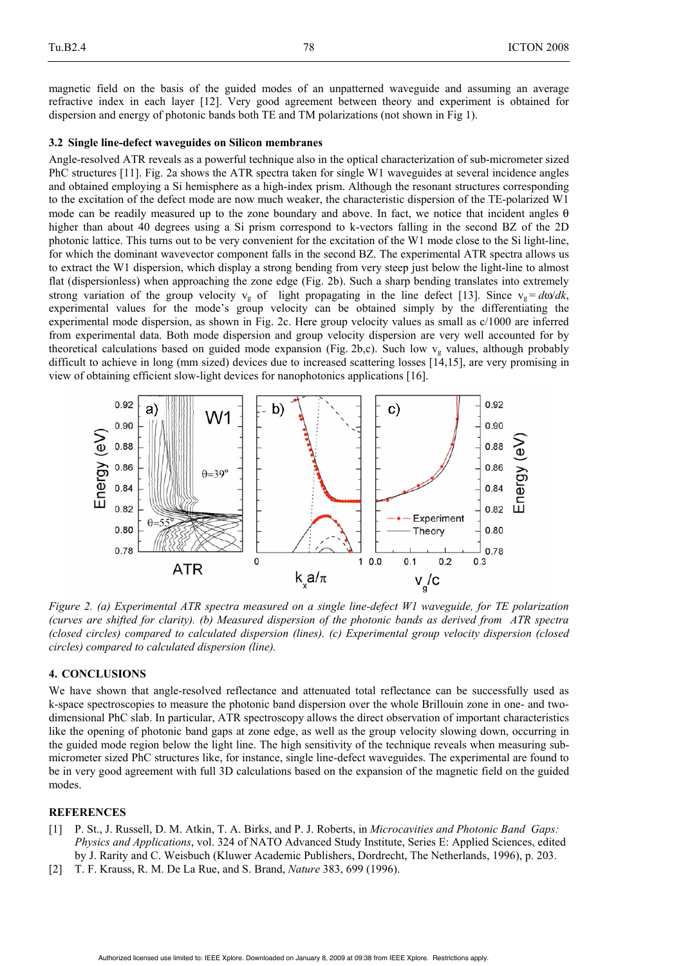magnetic field on the basis of the guided modes of an unpatterned waveguide and assuming an average refractive index in each layer [12]. Very good agreement between theory and experiment is obtained for dispersion and energy of photonic bands both TE and TM polarizations (not shown in Fig 1).

## **3.2 Single line-defect waveguides on Silicon membranes**

Angle-resolved ATR reveals as a powerful technique also in the optical characterization of sub-micrometer sized PhC structures [11]. Fig. 2a shows the ATR spectra taken for single W1 waveguides at several incidence angles and obtained employing a Si hemisphere as a high-index prism. Although the resonant structures corresponding to the excitation of the defect mode are now much weaker, the characteristic dispersion of the TE-polarized W1 mode can be readily measured up to the zone boundary and above. In fact, we notice that incident angles θ higher than about 40 degrees using a Si prism correspond to k-vectors falling in the second BZ of the 2D photonic lattice. This turns out to be very convenient for the excitation of the W1 mode close to the Si light-line, for which the dominant wavevector component falls in the second BZ. The experimental ATR spectra allows us to extract the W1 dispersion, which display a strong bending from very steep just below the light-line to almost flat (dispersionless) when approaching the zone edge (Fig. 2b). Such a sharp bending translates into extremely strong variation of the group velocity  $v_g$  of light propagating in the line defect [13]. Since  $v_g = d\omega/dk$ , experimental values for the mode's group velocity can be obtained simply by the differentiating the experimental mode dispersion, as shown in Fig. 2c. Here group velocity values as small as  $c/1000$  are inferred from experimental data. Both mode dispersion and group velocity dispersion are very well accounted for by theoretical calculations based on guided mode expansion (Fig. 2b,c). Such low  $v_g$  values, although probably difficult to achieve in long (mm sized) devices due to increased scattering losses [14,15], are very promising in view of obtaining efficient slow-light devices for nanophotonics applications [16].



*Figure 2. (a) Experimental ATR spectra measured on a single line-defect W1 waveguide, for TE polarization (curves are shifted for clarity). (b) Measured dispersion of the photonic bands as derived from ATR spectra (closed circles) compared to calculated dispersion (lines). (c) Experimental group velocity dispersion (closed circles) compared to calculated dispersion (line).*

# **4. CONCLUSIONS**

We have shown that angle-resolved reflectance and attenuated total reflectance can be successfully used as k-space spectroscopies to measure the photonic band dispersion over the whole Brillouin zone in one- and twodimensional PhC slab. In particular, ATR spectroscopy allows the direct observation of important characteristics like the opening of photonic band gaps at zone edge, as well as the group velocity slowing down, occurring in the guided mode region below the light line. The high sensitivity of the technique reveals when measuring submicrometer sized PhC structures like, for instance, single line-defect waveguides. The experimental are found to be in very good agreement with full 3D calculations based on the expansion of the magnetic field on the guided modes.

## **REFERENCES**

- [1] P. St., J. Russell, D. M. Atkin, T. A. Birks, and P. J. Roberts, in *Microcavities and Photonic Band Gaps: Physics and Applications*, vol. 324 of NATO Advanced Study Institute, Series E: Applied Sciences, edited by J. Rarity and C. Weisbuch (Kluwer Academic Publishers, Dordrecht, The Netherlands, 1996), p. 203.
- [2] T. F. Krauss, R. M. De La Rue, and S. Brand, *Nature* 383, 699 (1996).